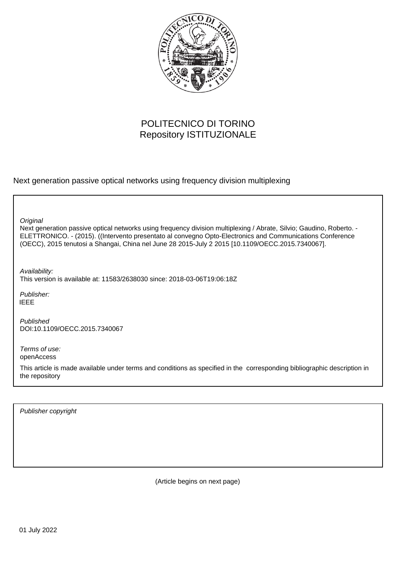

# POLITECNICO DI TORINO Repository ISTITUZIONALE

Next generation passive optical networks using frequency division multiplexing

**Original** 

Next generation passive optical networks using frequency division multiplexing / Abrate, Silvio; Gaudino, Roberto. - ELETTRONICO. - (2015). ((Intervento presentato al convegno Opto-Electronics and Communications Conference (OECC), 2015 tenutosi a Shangai, China nel June 28 2015-July 2 2015 [10.1109/OECC.2015.7340067].

Availability:

This version is available at: 11583/2638030 since: 2018-03-06T19:06:18Z

Publisher: IEEE

Published DOI:10.1109/OECC.2015.7340067

Terms of use: openAccess

This article is made available under terms and conditions as specified in the corresponding bibliographic description in the repository

Publisher copyright

(Article begins on next page)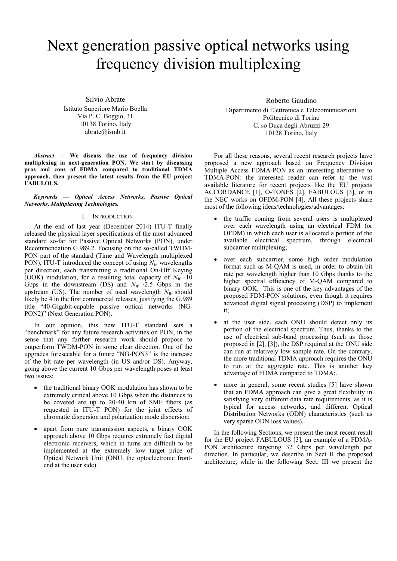# Next generation passive optical networks using frequency division multiplexing

Silvio Abrate Istituto Superiore Mario Boella Via P. C. Boggio, 31 10138 Torino, Italy abrate@ismb.it

*Abstract* **— We discuss the use of frequency division multiplexing in next-generation PON. We start by discussing pros and cons of FDMA compared to traditional TDMA approach, then present the latest results from the EU project FABULOUS.** 

*Keywords — Optical Access Networks, Passive Optical Networks, Multiplexing Technologies.* 

### I. INTRODUCTION

At the end of last year (December 2014) ITU-T finally released the physical layer specifications of the most advanced standard so-far for Passive Optical Networks (PON), under Recommendation G.989.2. Focusing on the so-called TWDM-PON part of the standard (Time and Wavelength multiplexed PON), ITU-T introduced the concept of using  $N_W$  wavelengths per direction, each transmitting a traditional On-Off Keying (OOK) modulation, for a resulting total capacity of  $N_W \cdot 10$ Gbps in the downstream (DS) and  $N_W$   $\cdot$  2.5 Gbps in the upstream (US). The number of used wavelength  $N_W$  should likely be 4 in the first commercial releases, justifying the G.989 title "40-Gigabit-capable passive optical networks (NG-PON2)" (Next Generation PON).

In our opinion, this new ITU-T standard sets a "benchmark" for any future research activities on PON, in the sense that any further research work should propose to outperform TWDM-PON in some clear direction. One of the upgrades foreseeable for a future "NG-PON3" is the increase of the bit rate per wavelength (in US and/or DS). Anyway, going above the current 10 Gbps per wavelength poses at least two issues:

- the traditional binary OOK modulation has shown to be extremely critical above 10 Gbps when the distances to be covered are up to 20-40 km of SMF fibers (as requested in ITU-T PON) for the joint effects of chromatic dispersion and polarization mode dispersion;
- apart from pure transmission aspects, a binary OOK approach above 10 Gbps requires extremely fast digital electronic receivers, which in turns are difficult to be implemented at the extremely low target price of Optical Network Unit (ONU, the optoelectronic frontend at the user side).

## Roberto Gaudino

Dipartimento di Elettronica e Telecomunicazioni Politecnico di Torino C. so Duca degli Abruzzi 29 10128 Torino, Italy

 For all these reasons, several recent research projects have proposed a new approach based on Frequency Division Multiple Access FDMA-PON as an interesting alternative to TDMA-PON: the interested reader can refer to the vast available literature for recent projects like the EU projects ACCORDANCE [1], O-TONES [2], FABULOUS [3], or in the NEC works on OFDM-PON [4]. All these projects share most of the following ideas/technologies/advantages:

- the traffic coming from several users is multiplexed over each wavelength using an electrical FDM (or OFDM) in which each user is allocated a portion of the available electrical spectrum, through electrical subcarrier multiplexing;
- over each subcarrier, some high order modulation format such as M-QAM is used, in order to obtain bit rate per wavelength higher than 10 Gbps thanks to the higher spectral efficiency of M-QAM compared to binary OOK. This is one of the key advantages of the proposed FDM-PON solutions, even though it requires advanced digital signal processing (DSP) to implement it;
- at the user side, each ONU should detect only its portion of the electrical spectrum. Thus, thanks to the use of electrical sub-band processing (such as those proposed in [2], [3]), the DSP required at the ONU side can run at relatively low sample rate. On the contrary, the more traditional TDMA approach requires the ONU to run at the aggregate rate. This is another key advantage of FDMA compared to TDMA;.
- more in general, some recent studies [5] have shown that an FDMA approach can give a great flexibility in satisfying very different data rate requirements, as it is typical for access networks, and different Optical Distribution Networks (ODN) characteristics (such as very sparse ODN loss values).

 In the following Sections, we present the most recent result for the EU project FABULOUS [3], an example of a FDMA-PON architecture targeting 32 Gbps per wavelength per direction. In particular, we describe in Sect II the proposed architecture, while in the following Sect. III we present the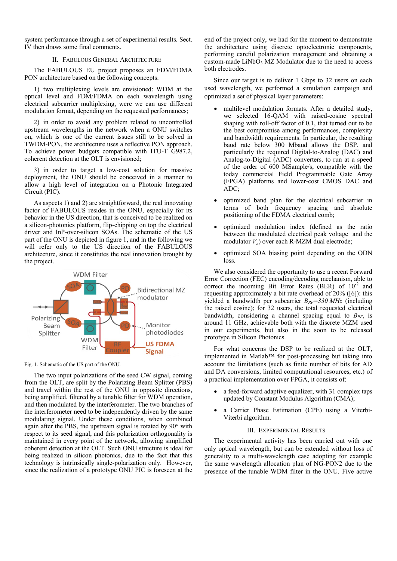system performance through a set of experimental results. Sect. IV then draws some final comments.

#### II. FABULOUS GENERAL ARCHITECTURE

The FABULOUS EU project proposes an FDM/FDMA PON architecture based on the following concepts:

1) two multiplexing levels are envisioned: WDM at the optical level and FDM/FDMA on each wavelength using electrical subcarrier multiplexing, were we can use different modulation format, depending on the requested performances;

2) in order to avoid any problem related to uncontrolled upstream wavelengths in the network when a ONU switches on, which is one of the current issues still to be solved in TWDM-PON, the architecture uses a reflective PON approach. To achieve power budgets compatible with ITU-T G987.2, coherent detection at the OLT is envisioned;

3) in order to target a low-cost solution for massive deployment, the ONU should be conceived in a manner to allow a high level of integration on a Photonic Integrated Circuit (PIC).

As aspects 1) and 2) are straightforward, the real innovating factor of FABULOUS resides in the ONU, especially for its behavior in the US direction, that is conceived to be realized on a silicon-photonics platform, flip-chipping on top the electrical driver and InP-over-silicon SOAs. The schematic of the US part of the ONU is depicted in figure 1, and in the following we will refer only to the US direction of the FABULOUS architecture, since it constitutes the real innovation brought by the project.



Fig. 1. Schematic of the US part of the ONU.

The two input polarizations of the seed CW signal, coming from the OLT, are split by the Polarizing Beam Splitter (PBS) and travel within the rest of the ONU in opposite directions, being amplified, filtered by a tunable filter for WDM operation, and then modulated by the interferometer. The two branches of the interferometer need to be independently driven by the same modulating signal. Under these conditions, when combined again after the PBS, the upstream signal is rotated by 90° with respect to its seed signal, and this polarization orthogonality is maintained in every point of the network, allowing simplified coherent detection at the OLT. Such ONU structure is ideal for being realized in silicon photonics, due to the fact that this technology is intrinsically single-polarization only. However, since the realization of a prototype ONU PIC is foreseen at the

end of the project only, we had for the moment to demonstrate the architecture using discrete optoelectronic components, performing careful polarization management and obtaining a custom-made  $LiNbO<sub>3</sub> MZ$  Modulator due to the need to access both electrodes.

Since our target is to deliver 1 Gbps to 32 users on each used wavelength, we performed a simulation campaign and optimized a set of physical layer parameters:

- multilevel modulation formats. After a detailed study, we selected 16-QAM with raised-cosine spectral shaping with roll-off factor of 0.1, that turned out to be the best compromise among performances, complexity and bandwidth requirements. In particular, the resulting baud rate below 300 Mbaud allows the DSP, and particularly the required Digital-to-Analog (DAC) and Analog-to-Digital (ADC) converters, to run at a speed of the order of 600 MSample/s, compatible with the today commercial Field Programmable Gate Array (FPGA) platforms and lower-cost CMOS DAC and ADC;
- optimized band plan for the electrical subcarrier in terms of both frequency spacing and absolute positioning of the FDMA electrical comb;
- optimized modulation index (defined as the ratio between the modulated electrical peak voltage and the modulator *Vπ*) over each R-MZM dual electrode;
- optimized SOA biasing point depending on the ODN loss.

We also considered the opportunity to use a recent Forward Error Correction (FEC) encoding/decoding mechanism, able to correct the incoming Bit Error Rates (BER) of  $10^{-2}$  and requesting approximately a bit rate overhead of 20% ([6]): this yielded a bandwidth per subcarrier *BRF=330 MHz* (including the raised cosine); for 32 users, the total requested electrical bandwidth, considering a channel spacing equal to *BRF*, is around 11 GHz, achievable both with the discrete MZM used in our experiments, but also in the soon to be released prototype in Silicon Photonics.

For what concerns the DSP to be realized at the OLT, implemented in Matlab™ for post-processing but taking into account the limitations (such as finite number of bits for AD and DA conversions, limited computational resources, etc.) of a practical implementation over FPGA, it consists of:

- a feed-forward adaptive equalizer, with 31 complex taps updated by Constant Modulus Algorithm (CMA);
- a Carrier Phase Estimation (CPE) using a Viterbi-Viterbi algorithm.

#### III. EXPERIMENTAL RESULTS

The experimental activity has been carried out with one only optical wavelength, but can be extended without loss of generality to a multi-wavelength case adopting for example the same wavelength allocation plan of NG-PON2 due to the presence of the tunable WDM filter in the ONU. Five active